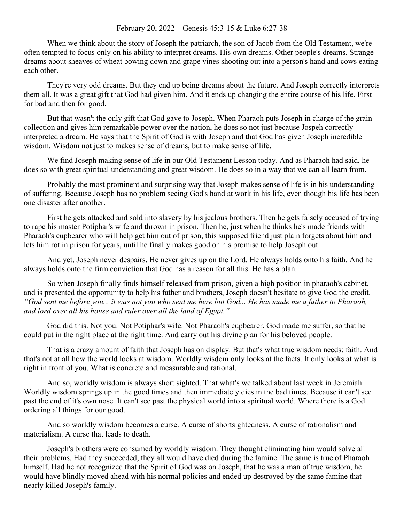## February 20, 2022 – Genesis 45:3-15 & Luke 6:27-38

When we think about the story of Joseph the patriarch, the son of Jacob from the Old Testament, we're often tempted to focus only on his ability to interpret dreams. His own dreams. Other people's dreams. Strange dreams about sheaves of wheat bowing down and grape vines shooting out into a person's hand and cows eating each other.

They're very odd dreams. But they end up being dreams about the future. And Joseph correctly interprets them all. It was a great gift that God had given him. And it ends up changing the entire course of his life. First for bad and then for good.

But that wasn't the only gift that God gave to Joseph. When Pharaoh puts Joseph in charge of the grain collection and gives him remarkable power over the nation, he does so not just because Jospeh correctly interpreted a dream. He says that the Spirit of God is with Joseph and that God has given Joseph incredible wisdom. Wisdom not just to makes sense of dreams, but to make sense of life.

We find Joseph making sense of life in our Old Testament Lesson today. And as Pharaoh had said, he does so with great spiritual understanding and great wisdom. He does so in a way that we can all learn from.

Probably the most prominent and surprising way that Joseph makes sense of life is in his understanding of suffering. Because Joseph has no problem seeing God's hand at work in his life, even though his life has been one disaster after another.

First he gets attacked and sold into slavery by his jealous brothers. Then he gets falsely accused of trying to rape his master Potiphar's wife and thrown in prison. Then he, just when he thinks he's made friends with Pharaoh's cupbearer who will help get him out of prison, this supposed friend just plain forgets about him and lets him rot in prison for years, until he finally makes good on his promise to help Joseph out.

And yet, Joseph never despairs. He never gives up on the Lord. He always holds onto his faith. And he always holds onto the firm conviction that God has a reason for all this. He has a plan.

So when Joseph finally finds himself released from prison, given a high position in pharaoh's cabinet, and is presented the opportunity to help his father and brothers, Joseph doesn't hesitate to give God the credit. *"God sent me before you... it was not you who sent me here but God... He has made me a father to Pharaoh, and lord over all his house and ruler over all the land of Egypt."*

God did this. Not you. Not Potiphar's wife. Not Pharaoh's cupbearer. God made me suffer, so that he could put in the right place at the right time. And carry out his divine plan for his beloved people.

That is a crazy amount of faith that Joseph has on display. But that's what true wisdom needs: faith. And that's not at all how the world looks at wisdom. Worldly wisdom only looks at the facts. It only looks at what is right in front of you. What is concrete and measurable and rational.

And so, worldly wisdom is always short sighted. That what's we talked about last week in Jeremiah. Worldly wisdom springs up in the good times and then immediately dies in the bad times. Because it can't see past the end of it's own nose. It can't see past the physical world into a spiritual world. Where there is a God ordering all things for our good.

And so worldly wisdom becomes a curse. A curse of shortsightedness. A curse of rationalism and materialism. A curse that leads to death.

Joseph's brothers were consumed by worldly wisdom. They thought eliminating him would solve all their problems. Had they succeeded, they all would have died during the famine. The same is true of Pharaoh himself. Had he not recognized that the Spirit of God was on Joseph, that he was a man of true wisdom, he would have blindly moved ahead with his normal policies and ended up destroyed by the same famine that nearly killed Joseph's family.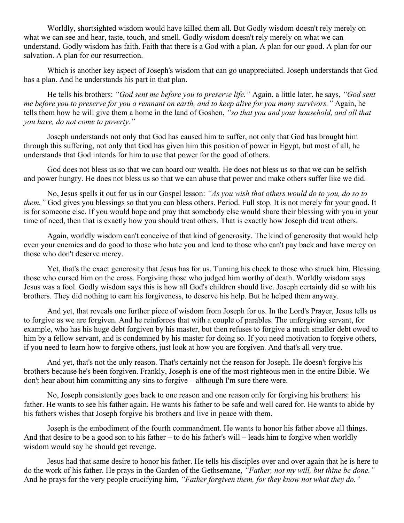Worldly, shortsighted wisdom would have killed them all. But Godly wisdom doesn't rely merely on what we can see and hear, taste, touch, and smell. Godly wisdom doesn't rely merely on what we can understand. Godly wisdom has faith. Faith that there is a God with a plan. A plan for our good. A plan for our salvation. A plan for our resurrection.

Which is another key aspect of Joseph's wisdom that can go unappreciated. Joseph understands that God has a plan. And he understands his part in that plan.

He tells his brothers: *"God sent me before you to preserve life."* Again, a little later, he says, *"God sent me before you to preserve for you a remnant on earth, and to keep alive for you many survivors."* Again, he tells them how he will give them a home in the land of Goshen, *"so that you and your household, and all that you have, do not come to poverty."*

Joseph understands not only that God has caused him to suffer, not only that God has brought him through this suffering, not only that God has given him this position of power in Egypt, but most of all, he understands that God intends for him to use that power for the good of others.

God does not bless us so that we can hoard our wealth. He does not bless us so that we can be selfish and power hungry. He does not bless us so that we can abuse that power and make others suffer like we did.

No, Jesus spells it out for us in our Gospel lesson: *"As you wish that others would do to you, do so to them."* God gives you blessings so that you can bless others. Period. Full stop. It is not merely for your good. It is for someone else. If you would hope and pray that somebody else would share their blessing with you in your time of need, then that is exactly how you should treat others. That is exactly how Joseph did treat others.

Again, worldly wisdom can't conceive of that kind of generosity. The kind of generosity that would help even your enemies and do good to those who hate you and lend to those who can't pay back and have mercy on those who don't deserve mercy.

Yet, that's the exact generosity that Jesus has for us. Turning his cheek to those who struck him. Blessing those who cursed him on the cross. Forgiving those who judged him worthy of death. Worldly wisdom says Jesus was a fool. Godly wisdom says this is how all God's children should live. Joseph certainly did so with his brothers. They did nothing to earn his forgiveness, to deserve his help. But he helped them anyway.

And yet, that reveals one further piece of wisdom from Joseph for us. In the Lord's Prayer, Jesus tells us to forgive as we are forgiven. And he reinforces that with a couple of parables. The unforgiving servant, for example, who has his huge debt forgiven by his master, but then refuses to forgive a much smaller debt owed to him by a fellow servant, and is condemned by his master for doing so. If you need motivation to forgive others, if you need to learn how to forgive others, just look at how you are forgiven. And that's all very true.

And yet, that's not the only reason. That's certainly not the reason for Joseph. He doesn't forgive his brothers because he's been forgiven. Frankly, Joseph is one of the most righteous men in the entire Bible. We don't hear about him committing any sins to forgive – although I'm sure there were.

No, Joseph consistently goes back to one reason and one reason only for forgiving his brothers: his father. He wants to see his father again. He wants his father to be safe and well cared for. He wants to abide by his fathers wishes that Joseph forgive his brothers and live in peace with them.

Joseph is the embodiment of the fourth commandment. He wants to honor his father above all things. And that desire to be a good son to his father – to do his father's will – leads him to forgive when worldly wisdom would say he should get revenge.

Jesus had that same desire to honor his father. He tells his disciples over and over again that he is here to do the work of his father. He prays in the Garden of the Gethsemane, *"Father, not my will, but thine be done."* And he prays for the very people crucifying him, *"Father forgiven them, for they know not what they do."*